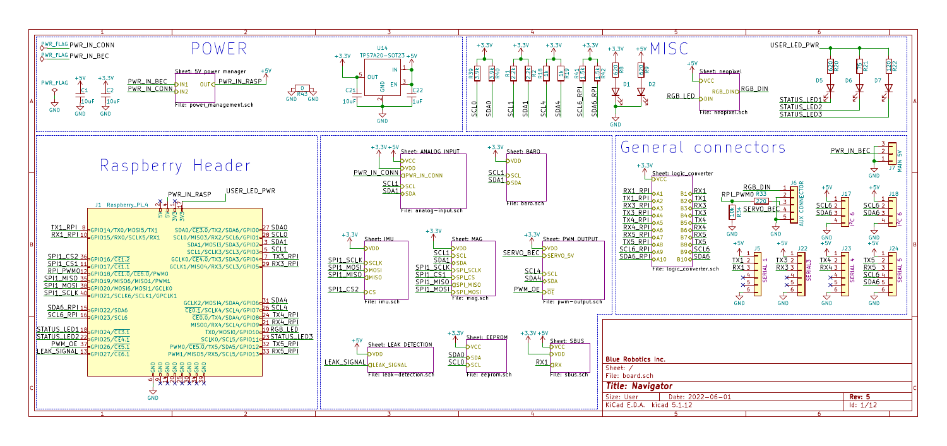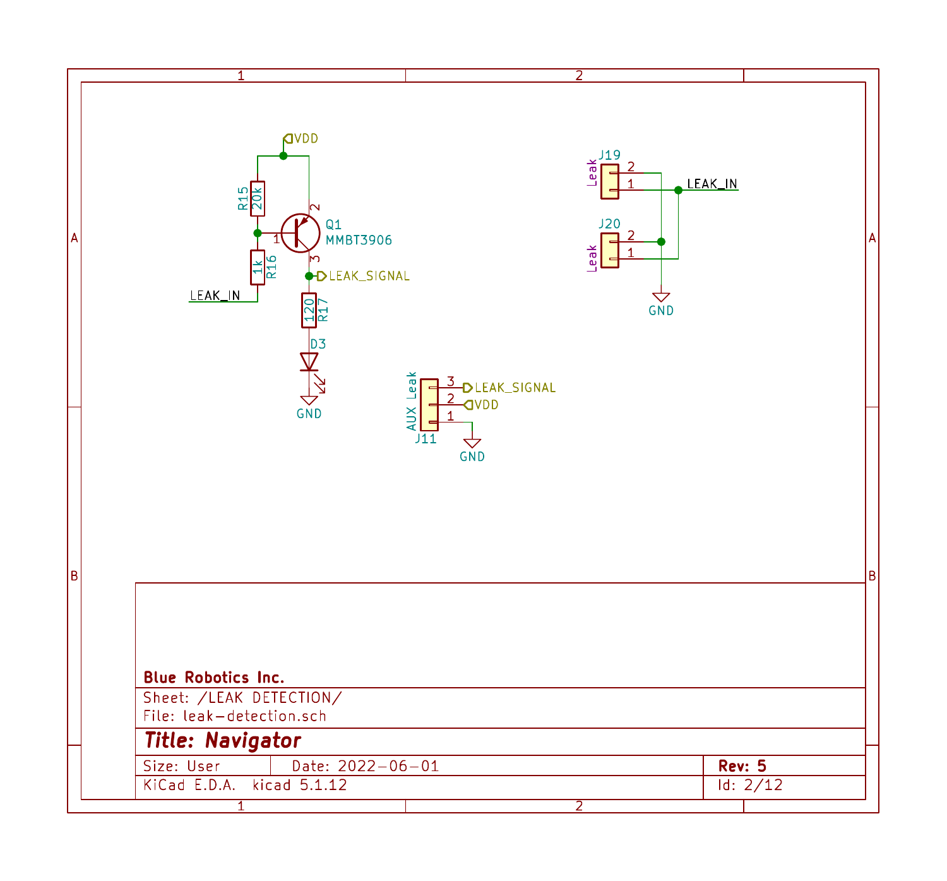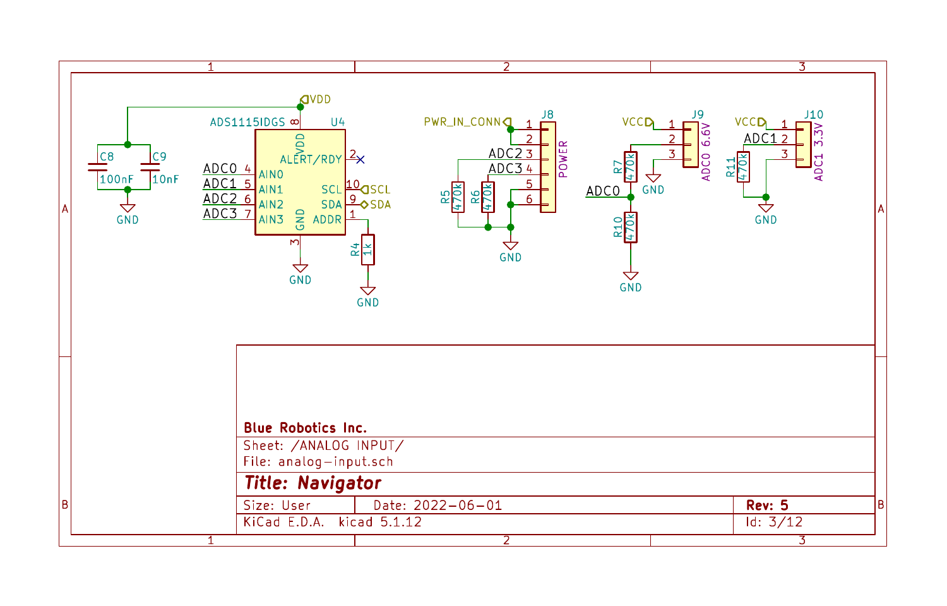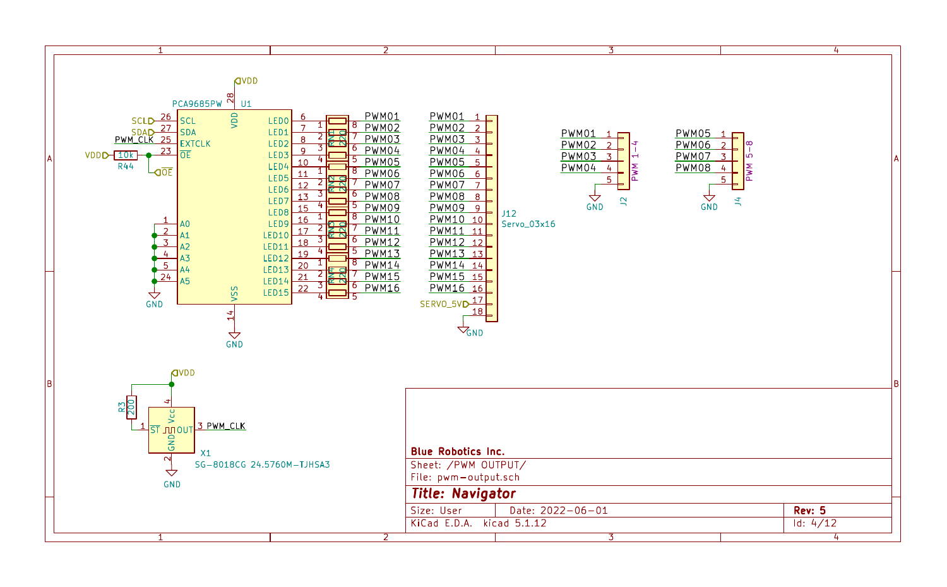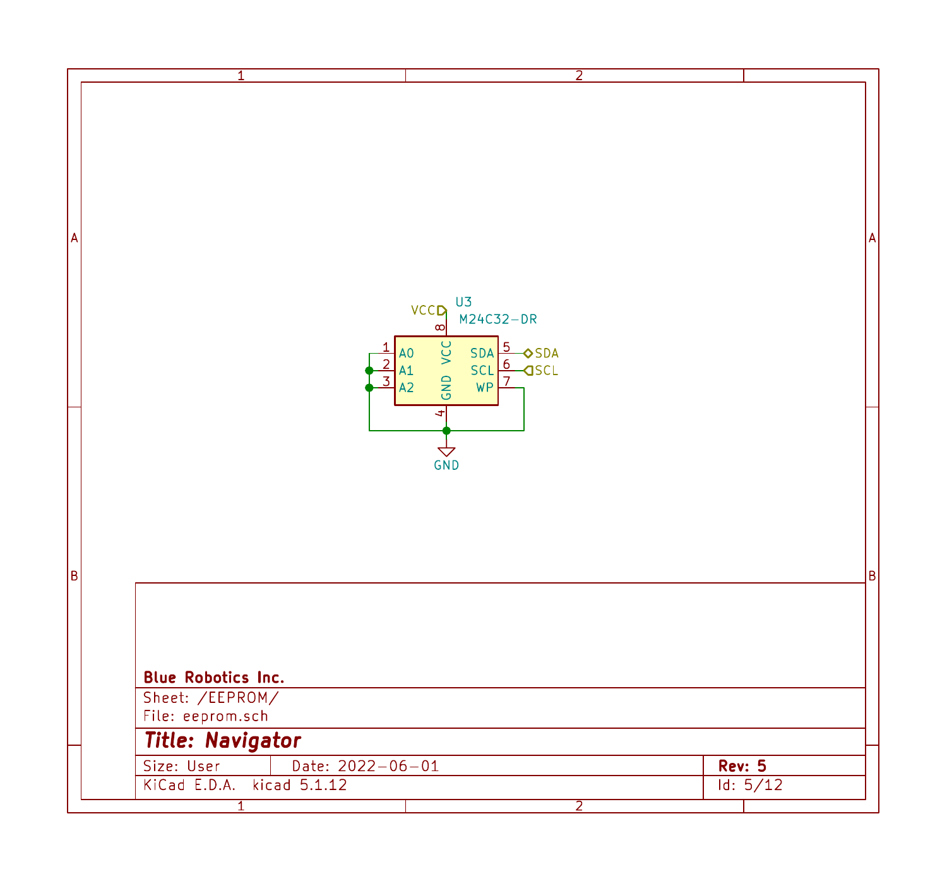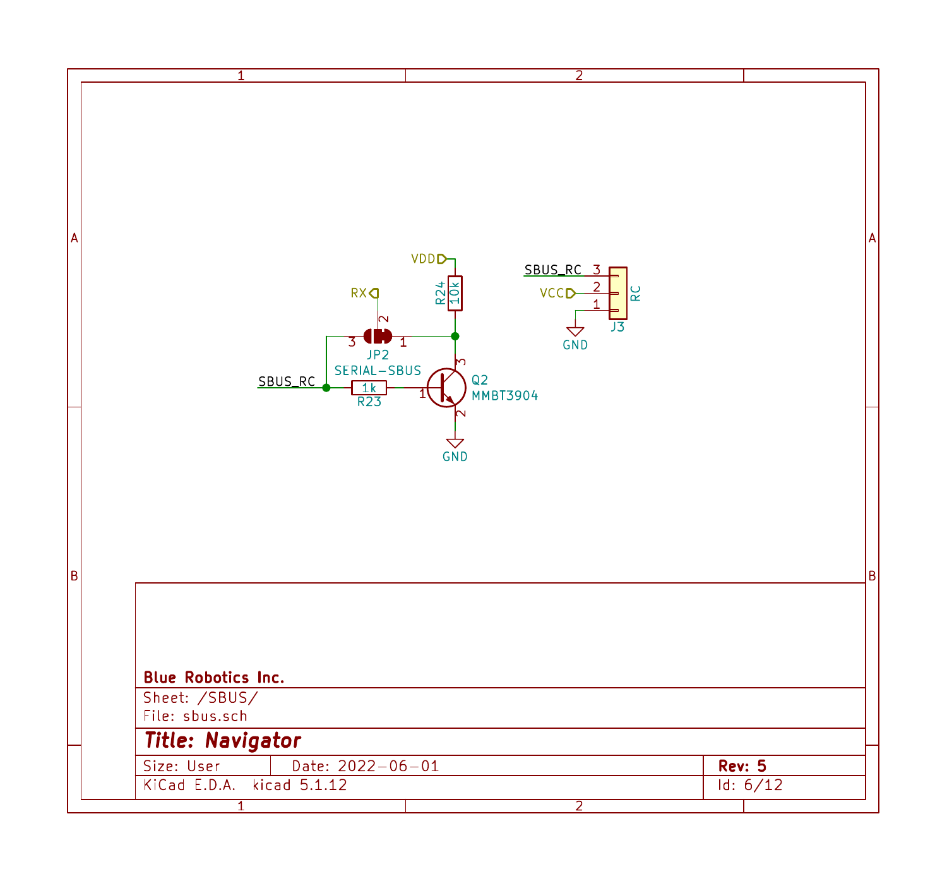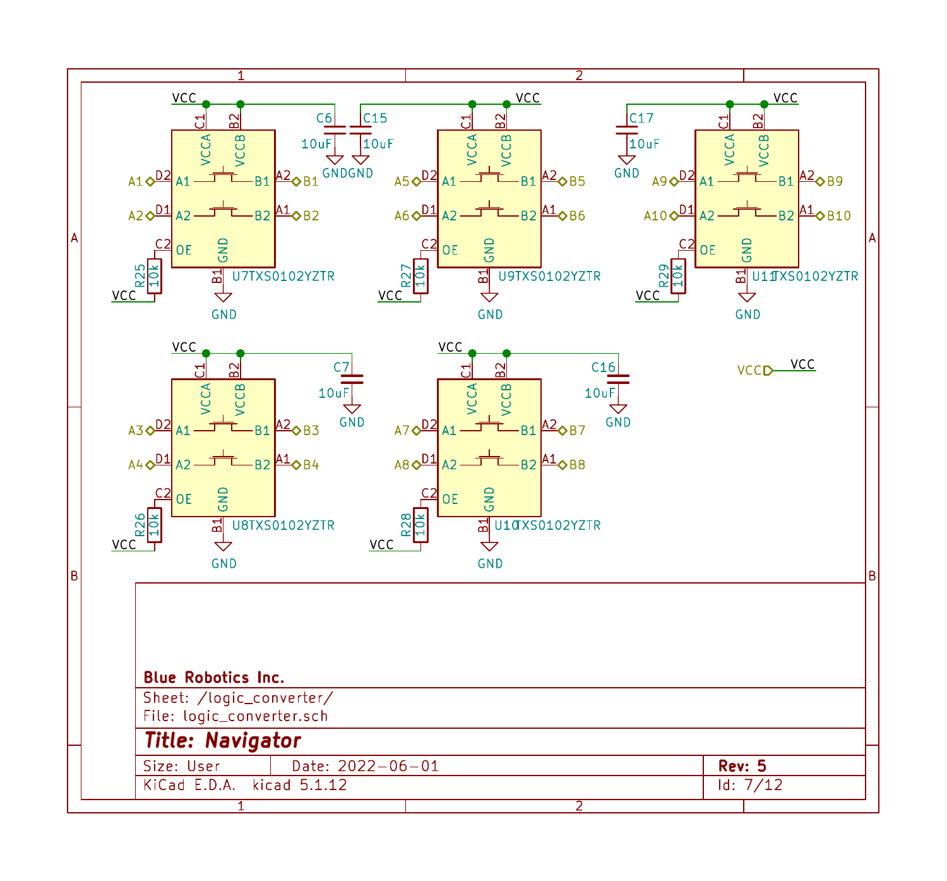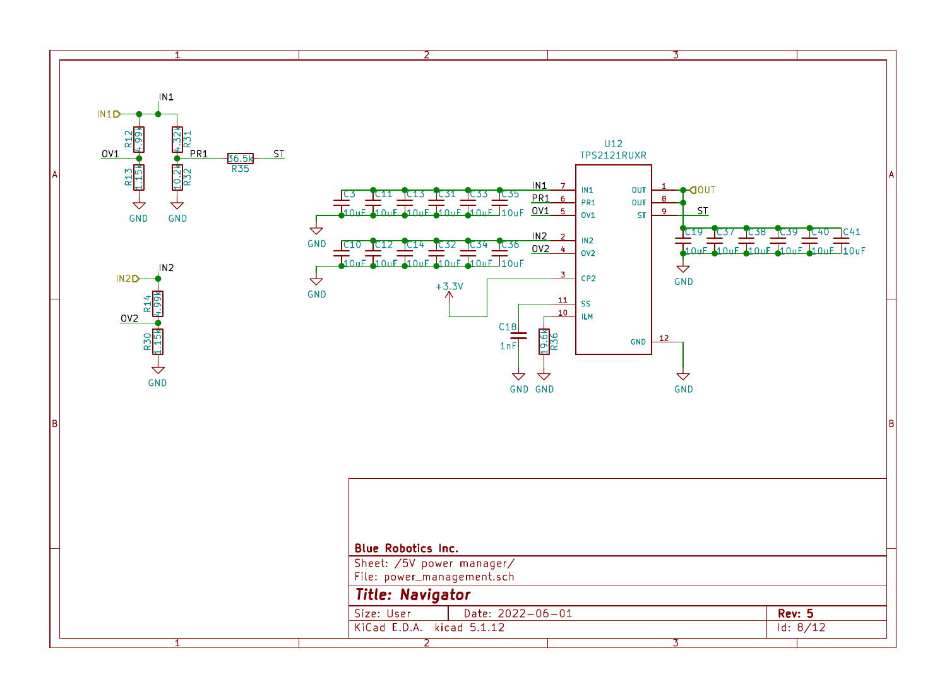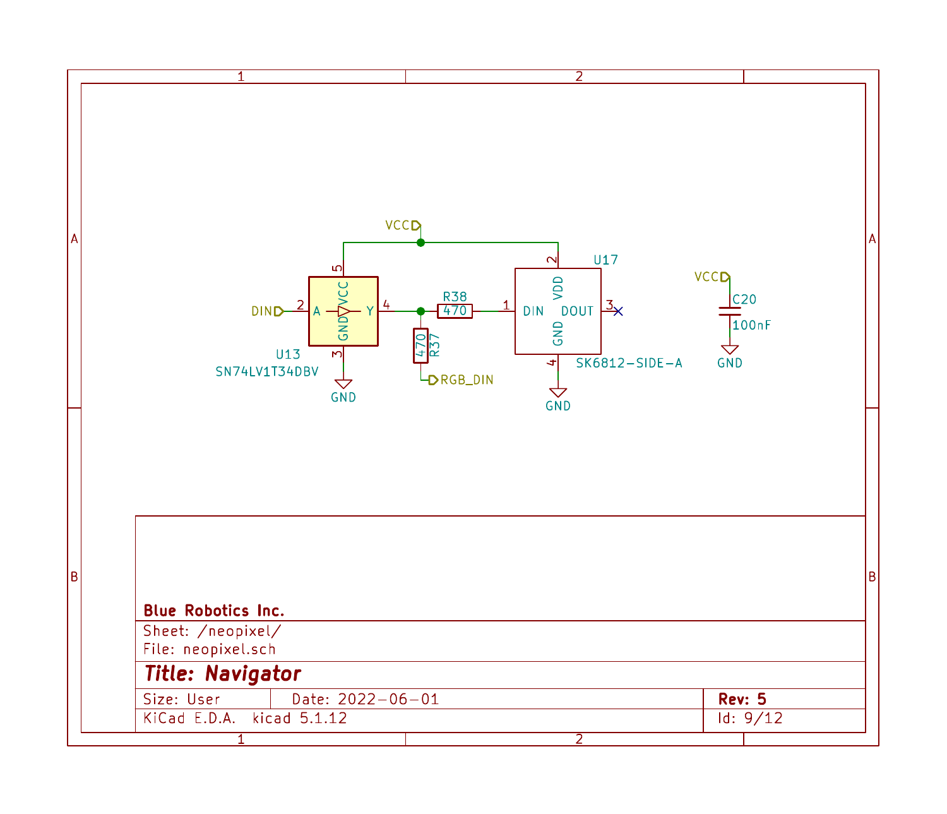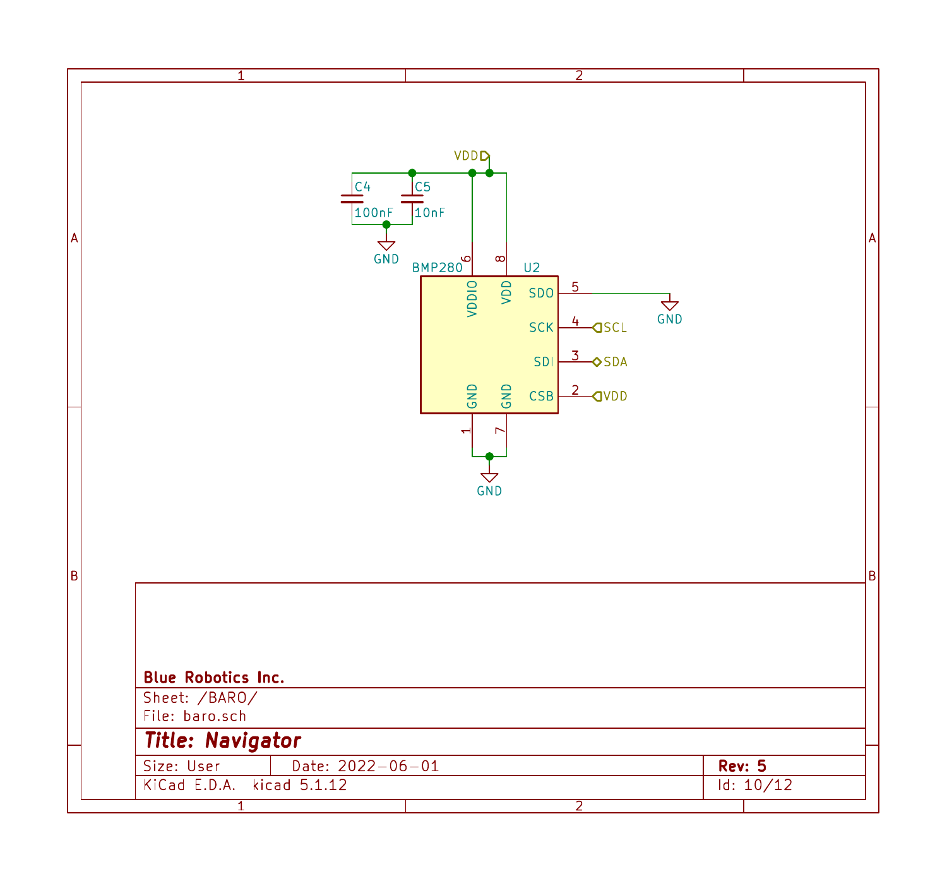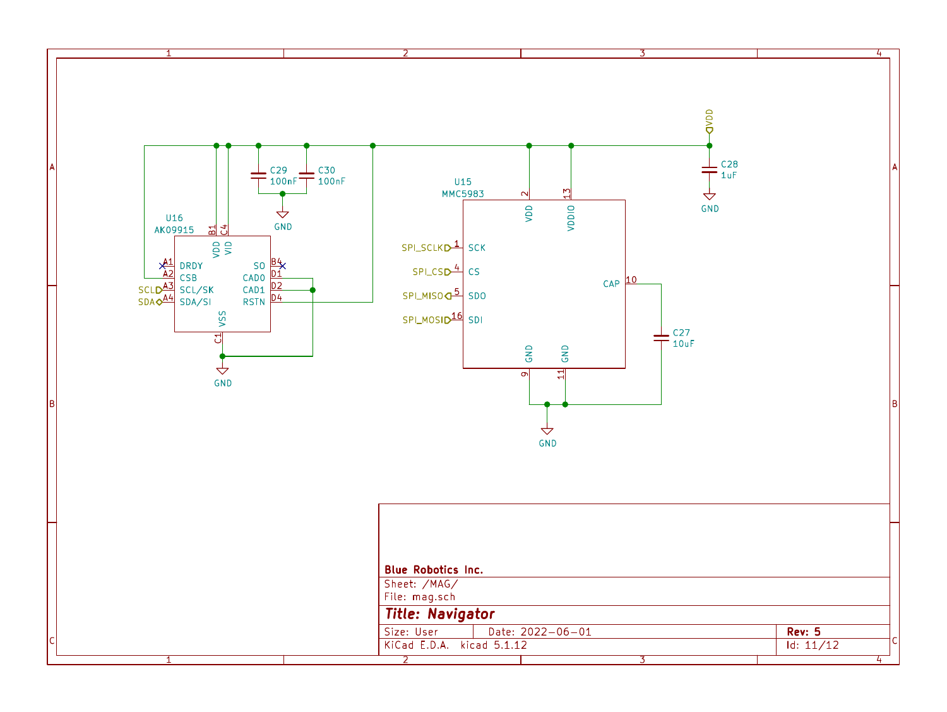